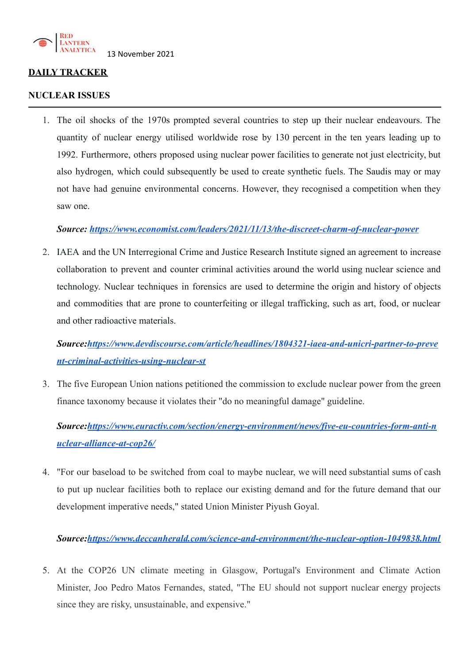

## **DAILY TRACKER**

### **NUCLEAR ISSUES**

1. The oil shocks of the 1970s prompted several countries to step up their nuclear endeavours. The quantity of nuclear energy utilised worldwide rose by 130 percent in the ten years leading up to 1992. Furthermore, others proposed using nuclear power facilities to generate not just electricity, but also hydrogen, which could subsequently be used to create synthetic fuels. The Saudis may or may not have had genuine environmental concerns. However, they recognised a competition when they saw one.

## *Source: <https://www.economist.com/leaders/2021/11/13/the-discreet-charm-of-nuclear-power>*

2. IAEA and the UN Interregional Crime and Justice Research Institute signed an agreement to increase collaboration to prevent and counter criminal activities around the world using nuclear science and technology. Nuclear techniques in forensics are used to determine the origin and history of objects and commodities that are prone to counterfeiting or illegal trafficking, such as art, food, or nuclear and other radioactive materials.

*Source:[https://www.devdiscourse.com/article/headlines/1804321-iaea-and-unicri-partner-to-preve](https://www.devdiscourse.com/article/headlines/1804321-iaea-and-unicri-partner-to-prevent-criminal-activities-using-nuclear-st) [nt-criminal-activities-using-nuclear-st](https://www.devdiscourse.com/article/headlines/1804321-iaea-and-unicri-partner-to-prevent-criminal-activities-using-nuclear-st)*

3. The five European Union nations petitioned the commission to exclude nuclear power from the green finance taxonomy because it violates their "do no meaningful damage" guideline.

*Source:[https://www.euractiv.com/section/energy-environment/news/five-eu-countries-form-anti-n](https://www.euractiv.com/section/energy-environment/news/five-eu-countries-form-anti-nuclear-alliance-at-cop26/) [uclear-alliance-at-cop26/](https://www.euractiv.com/section/energy-environment/news/five-eu-countries-form-anti-nuclear-alliance-at-cop26/)*

4. "For our baseload to be switched from coal to maybe nuclear, we will need substantial sums of cash to put up nuclear facilities both to replace our existing demand and for the future demand that our development imperative needs," stated Union Minister Piyush Goyal.

*Source:<https://www.deccanherald.com/science-and-environment/the-nuclear-option-1049838.html>*

5. At the COP26 UN climate meeting in Glasgow, Portugal's Environment and Climate Action Minister, Joo Pedro Matos Fernandes, stated, "The EU should not support nuclear energy projects since they are risky, unsustainable, and expensive."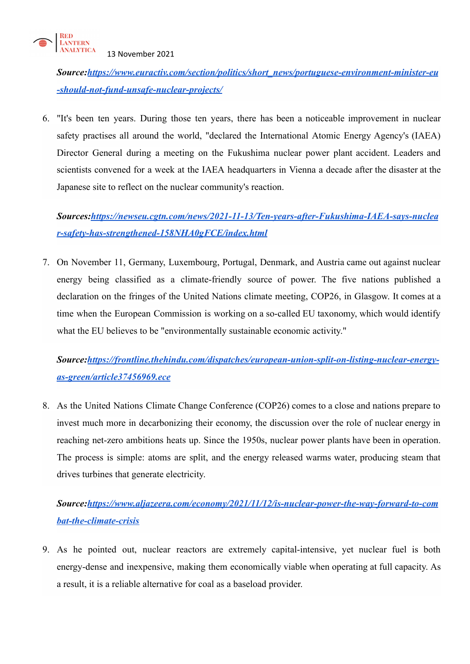

*Source:[https://www.euractiv.com/section/politics/short\\_news/portuguese-environment-minister-eu](https://www.euractiv.com/section/politics/short_news/portuguese-environment-minister-eu-should-not-fund-unsafe-nuclear-projects/) [-should-not-fund-unsafe-nuclear-projects/](https://www.euractiv.com/section/politics/short_news/portuguese-environment-minister-eu-should-not-fund-unsafe-nuclear-projects/)*

6. "It's been ten years. During those ten years, there has been a noticeable improvement in nuclear safety practises all around the world, "declared the International Atomic Energy Agency's (IAEA) Director General during a meeting on the Fukushima nuclear power plant accident. Leaders and scientists convened for a week at the IAEA headquarters in Vienna a decade after the disaster at the Japanese site to reflect on the nuclear community's reaction.

*Sources[:https://newseu.cgtn.com/news/2021-11-13/Ten-years-after-Fukushima-IAEA-says-nuclea](https://newseu.cgtn.com/news/2021-11-13/Ten-years-after-Fukushima-IAEA-says-nuclear-safety-has-strengthened-158NHA0gFCE/index.html) [r-safety-has-strengthened-158NHA0gFCE/index.html](https://newseu.cgtn.com/news/2021-11-13/Ten-years-after-Fukushima-IAEA-says-nuclear-safety-has-strengthened-158NHA0gFCE/index.html)*

7. On November 11, Germany, Luxembourg, Portugal, Denmark, and Austria came out against nuclear energy being classified as a climate-friendly source of power. The five nations published a declaration on the fringes of the United Nations climate meeting, COP26, in Glasgow. It comes at a time when the European Commission is working on a so-called EU taxonomy, which would identify what the EU believes to be "environmentally sustainable economic activity."

*Source:[https://frontline.thehindu.com/dispatches/european-union-split-on-listing-nuclear-energy](https://frontline.thehindu.com/dispatches/european-union-split-on-listing-nuclear-energy-as-green/article37456969.ece)[as-green/article37456969.ece](https://frontline.thehindu.com/dispatches/european-union-split-on-listing-nuclear-energy-as-green/article37456969.ece)*

8. As the United Nations Climate Change Conference (COP26) comes to a close and nations prepare to invest much more in decarbonizing their economy, the discussion over the role of nuclear energy in reaching net-zero ambitions heats up. Since the 1950s, nuclear power plants have been in operation. The process is simple: atoms are split, and the energy released warms water, producing steam that drives turbines that generate electricity.

# *Source:[https://www.aljazeera.com/economy/2021/11/12/is-nuclear-power-the-way-forward-to-com](https://www.aljazeera.com/economy/2021/11/12/is-nuclear-power-the-way-forward-to-combat-the-climate-crisis) [bat-the-climate-crisis](https://www.aljazeera.com/economy/2021/11/12/is-nuclear-power-the-way-forward-to-combat-the-climate-crisis)*

9. As he pointed out, nuclear reactors are extremely capital-intensive, yet nuclear fuel is both energy-dense and inexpensive, making them economically viable when operating at full capacity. As a result, it is a reliable alternative for coal as a baseload provider.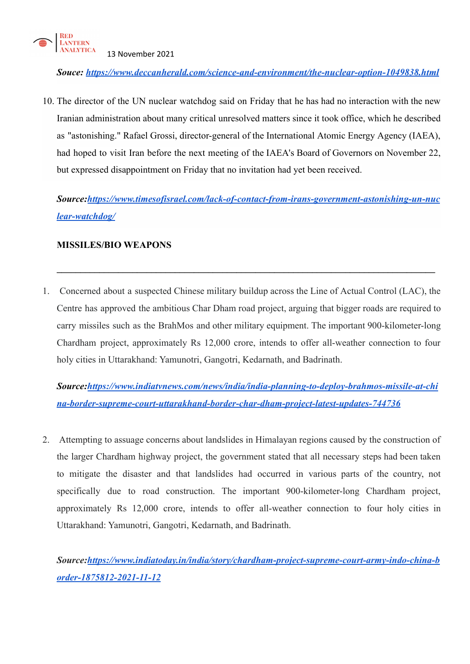

*Souce: <https://www.deccanherald.com/science-and-environment/the-nuclear-option-1049838.html>*

10. The director of the UN nuclear watchdog said on Friday that he has had no interaction with the new Iranian administration about many critical unresolved matters since it took office, which he described as "astonishing." Rafael Grossi, director-general of the International Atomic Energy Agency (IAEA), had hoped to visit Iran before the next meeting of the IAEA's Board of Governors on November 22, but expressed disappointment on Friday that no invitation had yet been received.

*Source:[https://www.timesofisrael.com/lack-of-contact-from-irans-government-astonishing-un-nuc](https://www.timesofisrael.com/lack-of-contact-from-irans-government-astonishing-un-nuclear-watchdog/) [lear-watchdog/](https://www.timesofisrael.com/lack-of-contact-from-irans-government-astonishing-un-nuclear-watchdog/)*

**\_\_\_\_\_\_\_\_\_\_\_\_\_\_\_\_\_\_\_\_\_\_\_\_\_\_\_\_\_\_\_\_\_\_\_\_\_\_\_\_\_\_\_\_\_\_\_\_\_\_\_\_\_\_\_\_\_\_\_\_\_\_\_\_\_\_\_\_\_\_\_\_\_\_\_\_\_\_\_\_**

## **MISSILES/BIO WEAPONS**

1. Concerned about a suspected Chinese military buildup across the Line of Actual Control (LAC), the Centre has approved the ambitious Char Dham road project, arguing that bigger roads are required to carry missiles such as the BrahMos and other military equipment. The important 900-kilometer-long Chardham project, approximately Rs 12,000 crore, intends to offer all-weather connection to four holy cities in Uttarakhand: Yamunotri, Gangotri, Kedarnath, and Badrinath.

*Source:[https://www.indiatvnews.com/news/india/india-planning-to-deploy-brahmos-missile-at-chi](https://www.indiatvnews.com/news/india/india-planning-to-deploy-brahmos-missile-at-china-border-supreme-court-uttarakhand-border-char-dham-project-latest-updates-744736) [na-border-supreme-court-uttarakhand-border-char-dham-project-latest-updates-744736](https://www.indiatvnews.com/news/india/india-planning-to-deploy-brahmos-missile-at-china-border-supreme-court-uttarakhand-border-char-dham-project-latest-updates-744736)*

2. Attempting to assuage concerns about landslides in Himalayan regions caused by the construction of the larger Chardham highway project, the government stated that all necessary steps had been taken to mitigate the disaster and that landslides had occurred in various parts of the country, not specifically due to road construction. The important 900-kilometer-long Chardham project, approximately Rs 12,000 crore, intends to offer all-weather connection to four holy cities in Uttarakhand: Yamunotri, Gangotri, Kedarnath, and Badrinath.

*Source:[https://www.indiatoday.in/india/story/chardham-project-supreme-court-army-indo-china-b](https://www.indiatoday.in/india/story/chardham-project-supreme-court-army-indo-china-border-1875812-2021-11-12) [order-1875812-2021-11-12](https://www.indiatoday.in/india/story/chardham-project-supreme-court-army-indo-china-border-1875812-2021-11-12)*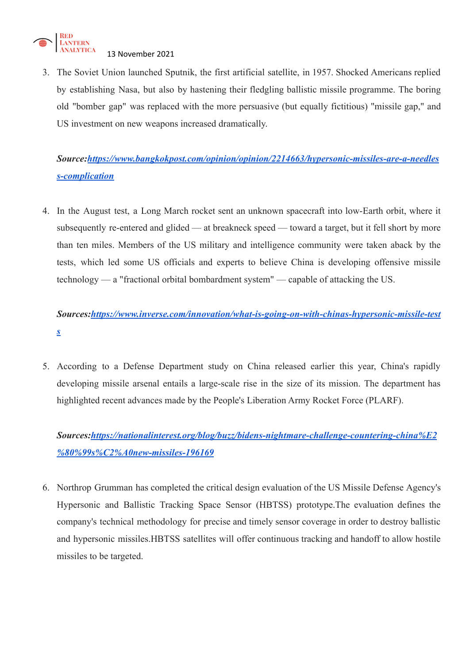

3. The Soviet Union launched Sputnik, the first artificial satellite, in 1957. Shocked Americans replied by establishing Nasa, but also by hastening their fledgling ballistic missile programme. The boring old "bomber gap" was replaced with the more persuasive (but equally fictitious) "missile gap," and US investment on new weapons increased dramatically.

## *Source:[https://www.bangkokpost.com/opinion/opinion/2214663/hypersonic-missiles-are-a-needles](https://www.bangkokpost.com/opinion/opinion/2214663/hypersonic-missiles-are-a-needless-complication) [s-complication](https://www.bangkokpost.com/opinion/opinion/2214663/hypersonic-missiles-are-a-needless-complication)*

4. In the August test, a Long March rocket sent an unknown spacecraft into low-Earth orbit, where it subsequently re-entered and glided — at breakneck speed — toward a target, but it fell short by more than ten miles. Members of the US military and intelligence community were taken aback by the tests, which led some US officials and experts to believe China is developing offensive missile technology — a "fractional orbital bombardment system" — capable of attacking the US.

# *Sources[:https://www.inverse.com/innovation/what-is-going-on-with-chinas-hypersonic-missile-test](https://www.inverse.com/innovation/what-is-going-on-with-chinas-hypersonic-missile-tests) [s](https://www.inverse.com/innovation/what-is-going-on-with-chinas-hypersonic-missile-tests)*

5. According to a Defense Department study on China released earlier this year, China's rapidly developing missile arsenal entails a large-scale rise in the size of its mission. The department has highlighted recent advances made by the People's Liberation Army Rocket Force (PLARF).

*Sources[:https://nationalinterest.org/blog/buzz/bidens-nightmare-challenge-countering-china%E2](https://nationalinterest.org/blog/buzz/bidens-nightmare-challenge-countering-china%E2%80%99s%C2%A0new-missiles-196169) [%80%99s%C2%A0new-missiles-196169](https://nationalinterest.org/blog/buzz/bidens-nightmare-challenge-countering-china%E2%80%99s%C2%A0new-missiles-196169)*

6. Northrop Grumman has completed the critical design evaluation of the US Missile Defense Agency's Hypersonic and Ballistic Tracking Space Sensor (HBTSS) prototype.The evaluation defines the company's technical methodology for precise and timely sensor coverage in order to destroy ballistic and hypersonic missiles.HBTSS satellites will offer continuous tracking and handoff to allow hostile missiles to be targeted.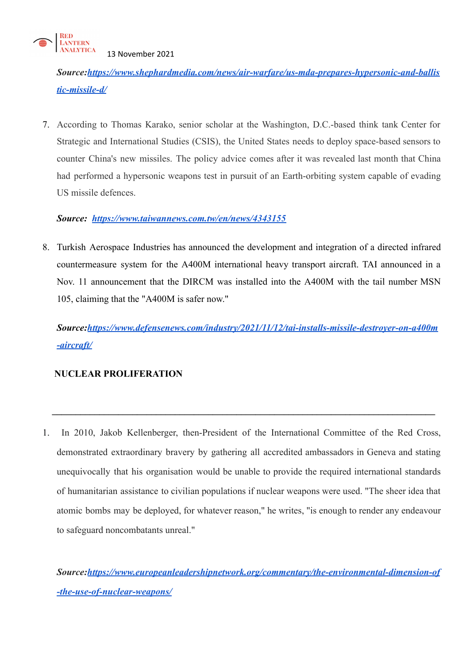

*Source:[https://www.shephardmedia.com/news/air-warfare/us-mda-prepares-hypersonic-and-ballis](https://www.shephardmedia.com/news/air-warfare/us-mda-prepares-hypersonic-and-ballistic-missile-d/) [tic-missile-d/](https://www.shephardmedia.com/news/air-warfare/us-mda-prepares-hypersonic-and-ballistic-missile-d/)*

7. According to Thomas Karako, senior scholar at the Washington, D.C.-based think tank Center for Strategic and International Studies (CSIS), the United States needs to deploy space-based sensors to counter China's new missiles. The policy advice comes after it was revealed last month that China had performed a hypersonic weapons test in pursuit of an Earth-orbiting system capable of evading US missile defences.

## *Source: <https://www.taiwannews.com.tw/en/news/4343155>*

8. Turkish Aerospace Industries has announced the development and integration of a directed infrared countermeasure system for the A400M international heavy transport aircraft. TAI announced in a Nov. 11 announcement that the DIRCM was installed into the A400M with the tail number MSN 105, claiming that the "A400M is safer now."

*Source:[https://www.defensenews.com/industry/2021/11/12/tai-installs-missile-destroyer-on-a400m](https://www.defensenews.com/industry/2021/11/12/tai-installs-missile-destroyer-on-a400m-aircraft/) [-aircraft/](https://www.defensenews.com/industry/2021/11/12/tai-installs-missile-destroyer-on-a400m-aircraft/)*

## **NUCLEAR PROLIFERATION**

1. In 2010, Jakob Kellenberger, then-President of the International Committee of the Red Cross, demonstrated extraordinary bravery by gathering all accredited ambassadors in Geneva and stating unequivocally that his organisation would be unable to provide the required international standards of humanitarian assistance to civilian populations if nuclear weapons were used. "The sheer idea that atomic bombs may be deployed, for whatever reason," he writes, "is enough to render any endeavour to safeguard noncombatants unreal."

**\_\_\_\_\_\_\_\_\_\_\_\_\_\_\_\_\_\_\_\_\_\_\_\_\_\_\_\_\_\_\_\_\_\_\_\_\_\_\_\_\_\_\_\_\_\_\_\_\_\_\_\_\_\_\_\_\_\_\_\_\_\_\_\_\_\_\_\_\_\_\_\_\_\_\_\_\_\_\_\_\_**

*Source:[https://www.europeanleadershipnetwork.org/commentary/the-environmental-dimension-of](https://www.europeanleadershipnetwork.org/commentary/the-environmental-dimension-of-the-use-of-nuclear-weapons/) [-the-use-of-nuclear-weapons/](https://www.europeanleadershipnetwork.org/commentary/the-environmental-dimension-of-the-use-of-nuclear-weapons/)*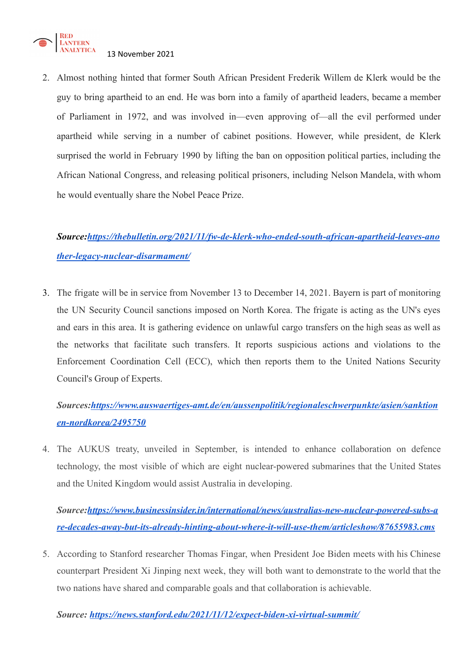

2. Almost nothing hinted that former South African President Frederik Willem de Klerk would be the guy to bring apartheid to an end. He was born into a family of apartheid leaders, became a member of Parliament in 1972, and was involved in—even approving of—all the evil performed under apartheid while serving in a number of cabinet positions. However, while president, de Klerk surprised the world in February 1990 by lifting the ban on opposition political parties, including the African National Congress, and releasing political prisoners, including Nelson Mandela, with whom he would eventually share the Nobel Peace Prize.

# *Source:[https://thebulletin.org/2021/11/fw-de-klerk-who-ended-south-african-apartheid-leaves-ano](https://thebulletin.org/2021/11/fw-de-klerk-who-ended-south-african-apartheid-leaves-another-legacy-nuclear-disarmament/) [ther-legacy-nuclear-disarmament/](https://thebulletin.org/2021/11/fw-de-klerk-who-ended-south-african-apartheid-leaves-another-legacy-nuclear-disarmament/)*

3. The frigate will be in service from November 13 to December 14, 2021. Bayern is part of monitoring the UN Security Council sanctions imposed on North Korea. The frigate is acting as the UN's eyes and ears in this area. It is gathering evidence on unlawful cargo transfers on the high seas as well as the networks that facilitate such transfers. It reports suspicious actions and violations to the Enforcement Coordination Cell (ECC), which then reports them to the United Nations Security Council's Group of Experts.

## *Sources[:https://www.auswaertiges-amt.de/en/aussenpolitik/regionaleschwerpunkte/asien/sanktion](https://www.auswaertiges-amt.de/en/aussenpolitik/regionaleschwerpunkte/asien/sanktionen-nordkorea/2495750) [en-nordkorea/2495750](https://www.auswaertiges-amt.de/en/aussenpolitik/regionaleschwerpunkte/asien/sanktionen-nordkorea/2495750)*

4. The AUKUS treaty, unveiled in September, is intended to enhance collaboration on defence technology, the most visible of which are eight nuclear-powered submarines that the United States and the United Kingdom would assist Australia in developing.

*Source:[https://www.businessinsider.in/international/news/australias-new-nuclear-powered-subs-a](https://www.businessinsider.in/international/news/australias-new-nuclear-powered-subs-are-decades-away-but-its-already-hinting-about-where-it-will-use-them/articleshow/87655983.cms) [re-decades-away-but-its-already-hinting-about-where-it-will-use-them/articleshow/87655983.cms](https://www.businessinsider.in/international/news/australias-new-nuclear-powered-subs-are-decades-away-but-its-already-hinting-about-where-it-will-use-them/articleshow/87655983.cms)*

5. According to Stanford researcher Thomas Fingar, when President Joe Biden meets with his Chinese counterpart President Xi Jinping next week, they will both want to demonstrate to the world that the two nations have shared and comparable goals and that collaboration is achievable.

*Source: <https://news.stanford.edu/2021/11/12/expect-biden-xi-virtual-summit/>*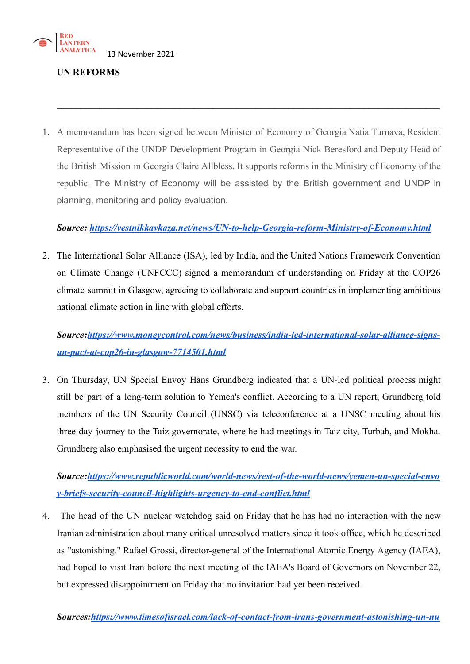

## **UN REFORMS**

1. A memorandum has been signed between Minister of Economy of Georgia Natia Turnava, Resident Representative of the UNDP Development Program in Georgia Nick Beresford and Deputy Head of the British Mission in Georgia Claire Allbless. It supports reforms in the Ministry of Economy of the republic. The Ministry of Economy will be assisted by the British government and UNDP in planning, monitoring and policy evaluation.

**\_\_\_\_\_\_\_\_\_\_\_\_\_\_\_\_\_\_\_\_\_\_\_\_\_\_\_\_\_\_\_\_\_\_\_\_\_\_\_\_\_\_\_\_\_\_\_\_\_\_\_\_\_\_\_\_\_\_\_\_\_\_\_\_\_\_\_\_\_\_\_\_\_\_\_\_\_\_\_\_\_**

## *Source: <https://vestnikkavkaza.net/news/UN-to-help-Georgia-reform-Ministry-of-Economy.html>*

2. The International Solar Alliance (ISA), led by India, and the United Nations Framework Convention on Climate Change (UNFCCC) signed a memorandum of understanding on Friday at the COP26 climate summit in Glasgow, agreeing to collaborate and support countries in implementing ambitious national climate action in line with global efforts.

*Source:[https://www.moneycontrol.com/news/business/india-led-international-solar-alliance-signs](https://www.moneycontrol.com/news/business/india-led-international-solar-alliance-signs-un-pact-at-cop26-in-glasgow-7714501.html)[un-pact-at-cop26-in-glasgow-7714501.html](https://www.moneycontrol.com/news/business/india-led-international-solar-alliance-signs-un-pact-at-cop26-in-glasgow-7714501.html)*

3. On Thursday, UN Special Envoy Hans Grundberg indicated that a UN-led political process might still be part of a long-term solution to Yemen's conflict. According to a UN report, Grundberg told members of the UN Security Council (UNSC) via teleconference at a UNSC meeting about his three-day journey to the Taiz governorate, where he had meetings in Taiz city, Turbah, and Mokha. Grundberg also emphasised the urgent necessity to end the war.

*Source:[https://www.republicworld.com/world-news/rest-of-the-world-news/yemen-un-special-envo](https://www.republicworld.com/world-news/rest-of-the-world-news/yemen-un-special-envoy-briefs-security-council-highlights-urgency-to-end-conflict.html) [y-briefs-security-council-highlights-urgency-to-end-conflict.html](https://www.republicworld.com/world-news/rest-of-the-world-news/yemen-un-special-envoy-briefs-security-council-highlights-urgency-to-end-conflict.html)*

4. The head of the UN nuclear watchdog said on Friday that he has had no interaction with the new Iranian administration about many critical unresolved matters since it took office, which he described as "astonishing." Rafael Grossi, director-general of the International Atomic Energy Agency (IAEA), had hoped to visit Iran before the next meeting of the IAEA's Board of Governors on November 22, but expressed disappointment on Friday that no invitation had yet been received.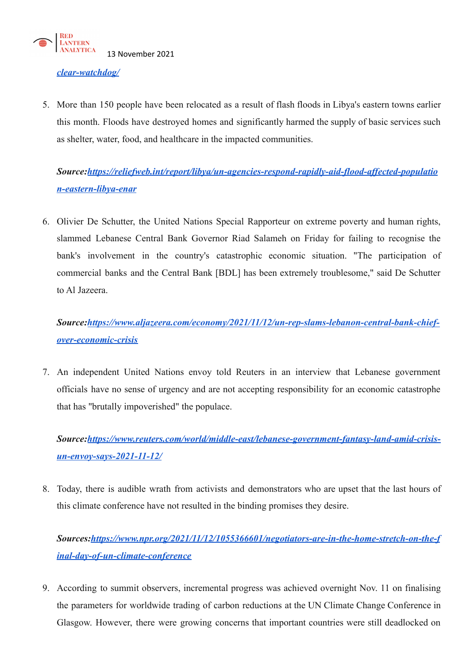

### *[clear-watchdog/](https://www.timesofisrael.com/lack-of-contact-from-irans-government-astonishing-un-nuclear-watchdog/)*

5. More than 150 people have been relocated as a result of flash floods in Libya's eastern towns earlier this month. Floods have destroyed homes and significantly harmed the supply of basic services such as shelter, water, food, and healthcare in the impacted communities.

# *Source:[https://reliefweb.int/report/libya/un-agencies-respond-rapidly-aid-flood-affected-populatio](https://reliefweb.int/report/libya/un-agencies-respond-rapidly-aid-flood-affected-population-eastern-libya-enar) [n-eastern-libya-enar](https://reliefweb.int/report/libya/un-agencies-respond-rapidly-aid-flood-affected-population-eastern-libya-enar)*

6. Olivier De Schutter, the United Nations Special Rapporteur on extreme poverty and human rights, slammed Lebanese Central Bank Governor Riad Salameh on Friday for failing to recognise the bank's involvement in the country's catastrophic economic situation. "The participation of commercial banks and the Central Bank [BDL] has been extremely troublesome," said De Schutter to Al Jazeera.

## *Source:[https://www.aljazeera.com/economy/2021/11/12/un-rep-slams-lebanon-central-bank-chief](https://www.aljazeera.com/economy/2021/11/12/un-rep-slams-lebanon-central-bank-chief-over-economic-crisis)[over-economic-crisis](https://www.aljazeera.com/economy/2021/11/12/un-rep-slams-lebanon-central-bank-chief-over-economic-crisis)*

7. An independent United Nations envoy told Reuters in an interview that Lebanese government officials have no sense of urgency and are not accepting responsibility for an economic catastrophe that has "brutally impoverished" the populace.

# *Source:[https://www.reuters.com/world/middle-east/lebanese-government-fantasy-land-amid-crisis](https://www.reuters.com/world/middle-east/lebanese-government-fantasy-land-amid-crisis-un-envoy-says-2021-11-12/)[un-envoy-says-2021-11-12/](https://www.reuters.com/world/middle-east/lebanese-government-fantasy-land-amid-crisis-un-envoy-says-2021-11-12/)*

8. Today, there is audible wrath from activists and demonstrators who are upset that the last hours of this climate conference have not resulted in the binding promises they desire.

# *Sources[:https://www.npr.org/2021/11/12/1055366601/negotiators-are-in-the-home-stretch-on-the-f](https://www.npr.org/2021/11/12/1055366601/negotiators-are-in-the-home-stretch-on-the-final-day-of-un-climate-conference) [inal-day-of-un-climate-conference](https://www.npr.org/2021/11/12/1055366601/negotiators-are-in-the-home-stretch-on-the-final-day-of-un-climate-conference)*

9. According to summit observers, incremental progress was achieved overnight Nov. 11 on finalising the parameters for worldwide trading of carbon reductions at the UN Climate Change Conference in Glasgow. However, there were growing concerns that important countries were still deadlocked on